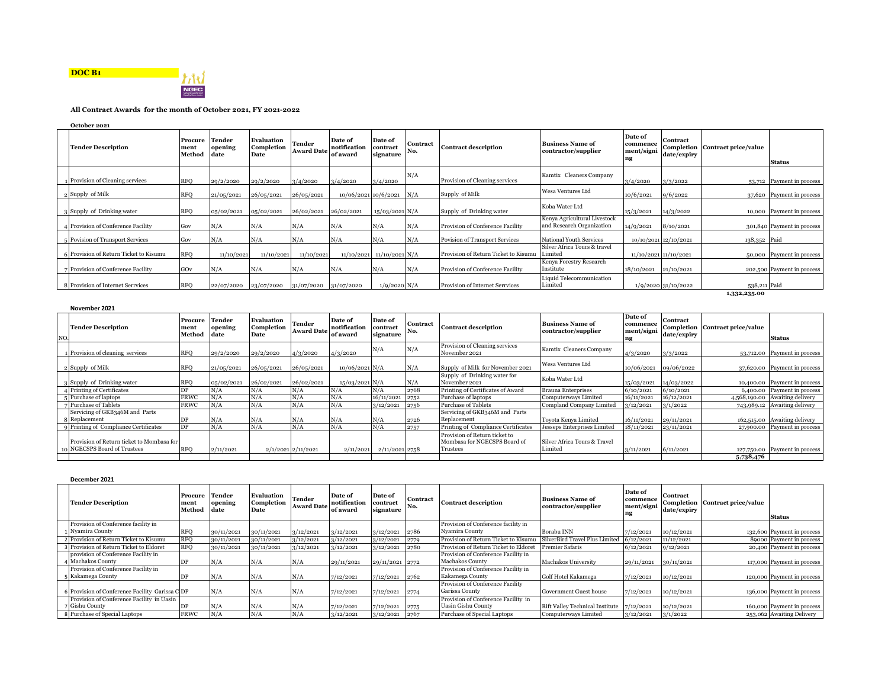



## **All Contract Awards for the month of October 2021, FY 2021-2022**

| October 2021 |  |
|--------------|--|
|--------------|--|

| <b>Tender Description</b>              | Procure<br>ment<br>Method | Tender<br>opening<br>date | Evaluation<br>Completion<br>Date | <b>Tender</b><br><b>Award Date</b> | Date of<br>notification<br>of award | Date of<br>contract<br>signature | Contract<br>No. | <b>Contract description</b>          | <b>Business Name of</b><br>contractor/supplier            | Date of<br>commence<br>ment/signi<br>ng | Contract<br>date/expiry | Completion Contract price/value | <b>Status</b>              |
|----------------------------------------|---------------------------|---------------------------|----------------------------------|------------------------------------|-------------------------------------|----------------------------------|-----------------|--------------------------------------|-----------------------------------------------------------|-----------------------------------------|-------------------------|---------------------------------|----------------------------|
| 1 Provision of Cleaning services       | <b>RFO</b>                | 29/2/2020                 | 29/2/2020                        | 3/4/2020                           | 3/4/2020                            | 3/4/2020                         | N/A             | Provision of Cleaning services       | Kamtix Cleaners Company                                   | 3/4/2020                                | 3/3/2022                |                                 | 53,712 Payment in process  |
| 2 Supply of Milk                       | <b>RFO</b>                | 21/05/2021                | 26/05/2021                       | 26/05/2021                         | 10/06/2021 10/6/2021                |                                  | N/A             | Supply of Milk                       | Wesa Ventures Ltd                                         | 10/6/2021                               | 9/6/2022                |                                 | 37,620 Payment in process  |
| Supply of Drinking water               | <b>RFO</b>                | 0.5/02/2021               | 05/02/2021                       | 26/02/2021                         | 26/02/2021                          | $15/03/2021$ N/A                 |                 | Supply of Drinking water             | Koba Water Ltd                                            | 15/3/2021                               | 14/3/2022               |                                 | 10,000 Payment in process  |
| 4 Provision of Conference Facility     | $1 \text{Gov}$            | N/A                       | N/A                              | N/A                                | N/A                                 | N/A                              | N/A             | Provision of Conference Facility     | Kenya Agricultural Livestock<br>and Research Organization | 14/9/2021                               | 8/10/2021               |                                 | 301,840 Payment in process |
| Povision of Transport Services         | Gov                       | N/A                       | N/A                              | N/A                                | N/A                                 | N/A                              | N/A             | Povision of Transport Services       | National Youth Services                                   | 10/10/2021 12/10/2021                   |                         | 138,352 Paid                    |                            |
| 6 Provision of Return Ticket to Kisumu | <b>RFO</b>                | 11/10/2021                | 11/10/2021                       | 11/10/2021                         |                                     | 11/10/2021 11/10/2021 N/A        |                 | Provision of Return Ticket to Kisumu | Silver Africa Tours & travel<br>Limited                   | 11/10/2021 11/10/2021                   |                         |                                 | 50,000 Payment in process  |
| Provision of Conference Facility       | GOv                       | N/A                       | N/A                              | N/A                                | N/A                                 | N/A                              | N/A             | Provision of Conference Facility     | Kenya Forestry Research<br>Institute                      | 18/10/2021 21/10/2021                   |                         |                                 | 202,500 Payment in process |
| Provision of Internet Serrvices        | <b>RFO</b>                | 22/07/2020                | 23/07/2020                       | 31/07/2020                         | 31/07/2020                          | $1/9/2020$ N/A                   |                 | Provision of Internet Serrvices      | Liquid Telecommunication<br>Limited                       |                                         | 1/9/2020 31/10/2022     | 538,211 Paid                    |                            |
|                                        |                           |                           |                                  |                                    |                                     |                                  |                 |                                      |                                                           |                                         |                         | 1,332,235.00                    |                            |

|     | November 2021                                |                          |                           |                                         |                                    |                                     |                                  |                 |                                                 |                                                |                                         |                         |                                 |                                |
|-----|----------------------------------------------|--------------------------|---------------------------|-----------------------------------------|------------------------------------|-------------------------------------|----------------------------------|-----------------|-------------------------------------------------|------------------------------------------------|-----------------------------------------|-------------------------|---------------------------------|--------------------------------|
| NO. | <b>Tender Description</b>                    | Procure<br>men<br>Method | Tender<br>opening<br>date | <b>Evaluation</b><br>Completion<br>Date | <b>Tender</b><br><b>Award Date</b> | Date of<br>notification<br>of award | Date of<br>contract<br>signature | Contract<br>No. | <b>Contract description</b>                     | <b>Business Name of</b><br>contractor/supplier | Date of<br>commence<br>ment/signi<br>ng | Contract<br>date/expiry | Completion Contract price/value | <b>Status</b>                  |
|     | 1 Provision of cleaning services             | <b>RFO</b>               | 29/2/2020                 | 29/2/2020                               | 4/3/2020                           | 4/3/2020                            | N/A                              | N/A             | Provision of Cleaning services<br>November 2021 | Kamtix Cleaners Company                        | 4/3/2020                                | 3/3/2022                |                                 | 53,712.00 Payment in process   |
|     | 2 Supply of Milk                             | <b>RFO</b>               | 21/05/2021                | 26/05/2021                              | 26/05/2021                         | $10/06/2021$ N/A                    |                                  | N/A             | Supply of Milk for November 2021                | Wesa Ventures Ltd                              |                                         | 10/06/2021 09/06/2022   |                                 | 37,620.00 Payment in process   |
|     | 3 Supply of Drinking water                   | <b>RFO</b>               | 05/02/2021                | 26/02/2021                              | 26/02/2021                         | $15/03/2021$ N/A                    |                                  | N/A             | Supply of Drinking water for<br>November 2021   | Koba Water Ltd                                 | 15/03/2021                              | 14/03/2022              |                                 | 10,400.00 Payment in process   |
|     | 4 Printing of Certificates                   | DP                       | N/A                       | N/A                                     | N/A                                | N/A                                 | N/A                              | 2768            | Printing of Certificates of Award               | <b>Brauna Enterprises</b>                      | 6/10/2021                               | 6/10/2021               |                                 | 6,400.00 Payment in process    |
|     | 5 Purchase of laptops                        | <b>FRWC</b>              | N/A                       | N/A                                     | N/A                                | N/A                                 | 16/11/2021                       | 2752            | Purchase of laptops                             | Computerways Limited                           | 16/11/2021                              | 16/12/2021              |                                 | 4,568,190.00 Awaiting delivery |
|     | 7 Purchase of Tablets                        | <b>FRWC</b>              | N/A                       | N/A                                     | N/A                                | N/A                                 | 3/12/2021                        | 2756            | <b>Purchase of Tablets</b>                      | Compland Company Limited                       | 3/12/2021                               | 3/1/2022                |                                 | 743,989.12 Awaiting delivery   |
|     | Servicing of GKB346M and Parts               |                          |                           |                                         |                                    |                                     |                                  |                 | Servicing of GKB346M and Parts                  |                                                |                                         |                         |                                 |                                |
|     | 8 Replacement                                | DP                       | N/A                       | N/A                                     | N/A                                | N/A                                 | N/A                              | 2726            | Replacement                                     | Toyota Kenya Limited                           | 16/11/2021                              | 29/11/2021              |                                 | 162,515.00 Awaiting delivery   |
|     | <b>q</b> Printing of Compliance Certificates | DP                       | N/A                       | N/A                                     | N/A                                | N/A                                 | N/A                              | 2757            | Printing of Compliance Certificates             | Jesseps Enterprises Limited                    | 18/11/2021                              | 23/11/2021              |                                 | 27,900.00 Payment in process   |
|     |                                              |                          |                           |                                         |                                    |                                     |                                  |                 | Provision of Return ticket to                   |                                                |                                         |                         |                                 |                                |
|     | Provision of Return ticket to Mombasa for    |                          |                           |                                         |                                    |                                     |                                  |                 | Mombasa for NGECSPS Board of                    | Silver Africa Tours & Travel                   |                                         |                         |                                 |                                |
|     | 10 NGECSPS Board of Trustees                 | <b>RFO</b>               | 2/11/2021                 |                                         | $2/1/2021$ $2/11/2021$             | 2/11/2021                           | 2/11/2021 2758                   |                 | Trustees                                        | Limited                                        | 3/11/2021                               | 6/11/2021               |                                 | 127,750.00 Payment in process  |
|     |                                              |                          |                           |                                         |                                    |                                     |                                  |                 |                                                 |                                                |                                         |                         | 5,738,476                       |                                |

| December 2021                                   |                           |                                  |                                  |                             |                                     |                                  |                        |                                       |                                                |                                         |                                |                                 |                            |
|-------------------------------------------------|---------------------------|----------------------------------|----------------------------------|-----------------------------|-------------------------------------|----------------------------------|------------------------|---------------------------------------|------------------------------------------------|-----------------------------------------|--------------------------------|---------------------------------|----------------------------|
| <b>Tender Description</b>                       | Procure<br>ment<br>Method | <b>Tender</b><br>opening<br>date | Evaluation<br>Completion<br>Date | Tender<br><b>Award Date</b> | Date of<br>notification<br>of award | Date of<br>contract<br>signature | <b>Contract</b><br>No. | <b>Contract description</b>           | <b>Business Name of</b><br>contractor/supplier | Date of<br>commence<br>ment/signi<br>ng | <b>Contract</b><br>date/expiry | Completion Contract price/value | <b>Status</b>              |
| Provision of Conference facility in             |                           |                                  |                                  |                             |                                     |                                  |                        | Provision of Conference facility in   |                                                |                                         |                                |                                 |                            |
| 1 Nyamira County                                | <b>RFO</b>                | 30/11/2021                       | 30/11/2021                       | 3/12/2021                   | 3/12/2021                           | 3/12/2021                        | 2786                   | Nyamira County                        | Borabu INN                                     | 7/12/2021                               | 10/12/2021                     |                                 | 132,600 Payment in process |
| 2 Provision of Return Ticket to Kisumu          | <b>RFO</b>                | 30/11/2021                       | 30/11/2021                       | 3/12/2021                   | 3/12/2021                           | 3/12/2021                        | 2779                   | Provision of Return Ticket to Kisumu  | SilverBird Travel Plus Limited                 | 6/12/2021                               | 11/12/2021                     |                                 | 89000 Payment in process   |
| 3 Provision of Return Ticket to Eldoret         | <b>RFO</b>                | 30/11/2021                       | 30/11/2021                       | 3/12/2021                   | 3/12/2021                           | 3/12/2021                        | 2780                   | Provision of Return Ticket to Eldoret | <b>Premier Safaris</b>                         | 6/12/2021                               | 9/12/2021                      |                                 | 20,400 Payment in process  |
| provision of Conference Facility in             |                           |                                  |                                  |                             |                                     |                                  |                        | Provision of Conference Facility in   |                                                |                                         |                                |                                 |                            |
| 4 Machakos County                               | <b>DP</b>                 | N/A                              | N/A                              | N/A                         | 29/11/2021                          | 29/11/2021 2772                  |                        | <b>Machakos County</b>                | Machakos University                            | 29/11/2021                              | 30/11/2021                     |                                 | 117,000 Payment in process |
| Provision of Conference Facility in             |                           |                                  |                                  |                             |                                     |                                  |                        | Provision of Conference Facility in   |                                                |                                         |                                |                                 |                            |
| 5 Kakamega County                               | DP                        | N/A                              | N/A                              | N/A                         | 7/12/2021                           | 7/12/2021                        | 2762                   | Kakamega County                       | Golf Hotel Kakamega                            | 7/12/2021                               | 10/12/2021                     |                                 | 120,000 Payment in process |
|                                                 |                           |                                  |                                  |                             |                                     |                                  |                        | Provision of Conference Facility      |                                                |                                         |                                |                                 |                            |
| 6 Provision of Conference Facility Garissa C DP |                           | N/A                              | N/A                              | N/A                         | 7/12/2021                           | 7/12/2021                        | 2774                   | Garissa County                        | Government Guest house                         | 7/12/2021                               | 10/12/2021                     |                                 | 136,000 Payment in process |
| Provision of Conference Facility in Uasin       |                           |                                  |                                  |                             |                                     |                                  |                        | Provision of Conference Facility in   |                                                |                                         |                                |                                 |                            |
| 7 Gishu County                                  | DP                        | N/A                              | N/A                              | N/A                         | 7/12/2021                           | 7/12/2021                        | 2775                   | Uasin Gishu County                    | <b>Rift Valley Technical Institute</b>         | 7/12/2021                               | 10/12/2021                     |                                 | 160,000 Payment in process |
| 8 Purchase of Special Laptops                   | <b>FRWC</b>               | N/A                              | N/A                              | N/A                         | 3/12/2021                           | 3/12/2021                        | 2767                   | Purchase of Special Laptops           | Computerways Limited                           | 3/12/2021                               | 3/1/2022                       |                                 | 253,062 Awaiting Delivery  |
|                                                 |                           |                                  |                                  |                             |                                     |                                  |                        |                                       |                                                |                                         |                                |                                 |                            |